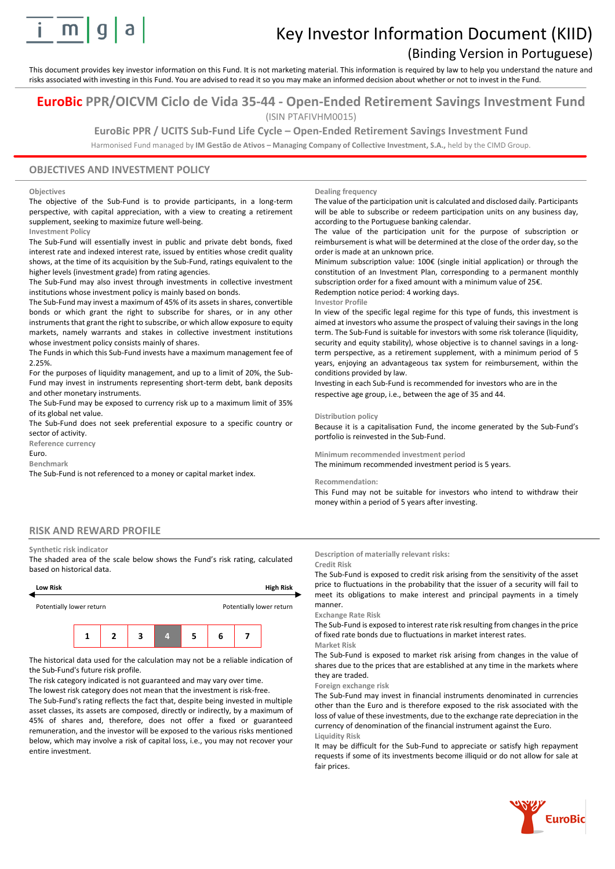

# Key Investor Information Document (KIID)

# (Binding Version in Portuguese)

This document provides key investor information on this Fund. It is not marketing material. This information is required by law to help you understand the nature and risks associated with investing in this Fund. You are advised to read it so you may make an informed decision about whether or not to invest in the Fund.

# **EuroBic PPR/OICVM Ciclo de Vida 35-44 - Open-Ended Retirement Savings Investment Fund** (ISIN PTAFIVHM0015)

# **EuroBic PPR / UCITS Sub-Fund Life Cycle – Open-Ended Retirement Savings Investment Fund**

Harmonised Fund managed by **IM Gestão de Ativos – Managing Company of Collective Investment, S.A.,** held by the CIMD Group.

## **OBJECTIVES AND INVESTMENT POLICY**

#### **Objectives**

The objective of the Sub-Fund is to provide participants, in a long-term perspective, with capital appreciation, with a view to creating a retirement supplement, seeking to maximize future well-being.

#### **Investment Policy**

The Sub-Fund will essentially invest in public and private debt bonds, fixed interest rate and indexed interest rate, issued by entities whose credit quality shows, at the time of its acquisition by the Sub-Fund, ratings equivalent to the higher levels (investment grade) from rating agencies.

The Sub-Fund may also invest through investments in collective investment institutions whose investment policy is mainly based on bonds.

The Sub-Fund may invest a maximum of 45% of its assets in shares, convertible bonds or which grant the right to subscribe for shares, or in any other instruments that grant the right to subscribe, or which allow exposure to equity markets, namely warrants and stakes in collective investment institutions whose investment policy consists mainly of shares.

The Funds in which this Sub-Fund invests have a maximum management fee of 2.25%.

For the purposes of liquidity management, and up to a limit of 20%, the Sub-Fund may invest in instruments representing short-term debt, bank deposits and other monetary instruments.

The Sub-Fund may be exposed to currency risk up to a maximum limit of 35% of its global net value.

The Sub-Fund does not seek preferential exposure to a specific country or sector of activity.

**Reference currency**

Euro.

**Benchmark**

The Sub-Fund is not referenced to a money or capital market index.

#### **Dealing frequency**

The value of the participation unit is calculated and disclosed daily. Participants will be able to subscribe or redeem participation units on any business day, according to the Portuguese banking calendar.

The value of the participation unit for the purpose of subscription or reimbursement is what will be determined at the close of the order day, so the order is made at an unknown price.

Minimum subscription value: 100€ (single initial application) or through the constitution of an Investment Plan, corresponding to a permanent monthly subscription order for a fixed amount with a minimum value of  $25f$ .

Redemption notice period: 4 working days.

#### **Investor Profile**

In view of the specific legal regime for this type of funds, this investment is aimed at investors who assume the prospect of valuing their savings in the long term. The Sub-Fund is suitable for investors with some risk tolerance (liquidity, security and equity stability), whose objective is to channel savings in a longterm perspective, as a retirement supplement, with a minimum period of 5 years, enjoying an advantageous tax system for reimbursement, within the conditions provided by law.

Investing in each Sub-Fund is recommended for investors who are in the respective age group, i.e., between the age of 35 and 44.

#### **Distribution policy**

Because it is a capitalisation Fund, the income generated by the Sub-Fund's portfolio is reinvested in the Sub-Fund.

**Minimum recommended investment period**

The minimum recommended investment period is 5 years.

#### **Recommendation:**

This Fund may not be suitable for investors who intend to withdraw their money within a period of 5 years after investing.

# **RISK AND REWARD PROFILE**

#### **Synthetic risk indicator**

The shaded area of the scale below shows the Fund's risk rating, calculated based on historical data.



The historical data used for the calculation may not be a reliable indication of the Sub-Fund's future risk profile.

The risk category indicated is not guaranteed and may vary over time.

The lowest risk category does not mean that the investment is risk-free.

The Sub-Fund's rating reflects the fact that, despite being invested in multiple asset classes, its assets are composed, directly or indirectly, by a maximum of 45% of shares and, therefore, does not offer a fixed or guaranteed remuneration, and the investor will be exposed to the various risks mentioned below, which may involve a risk of capital loss, i.e., you may not recover your entire investment.

#### **Description of materially relevant risks:**

#### **Credit Risk**

The Sub-Fund is exposed to credit risk arising from the sensitivity of the asset price to fluctuations in the probability that the issuer of a security will fail to meet its obligations to make interest and principal payments in a timely manner.

**Exchange Rate Risk**

The Sub-Fund is exposed to interest rate risk resulting from changes in the price of fixed rate bonds due to fluctuations in market interest rates. **Market Risk**

The Sub-Fund is exposed to market risk arising from changes in the value of shares due to the prices that are established at any time in the markets where they are traded.

### **Foreign exchange risk**

The Sub-Fund may invest in financial instruments denominated in currencies other than the Euro and is therefore exposed to the risk associated with the loss of value of these investments, due to the exchange rate depreciation in the currency of denomination of the financial instrument against the Euro. **Liquidity Risk**

It may be difficult for the Sub-Fund to appreciate or satisfy high repayment requests if some of its investments become illiquid or do not allow for sale at fair prices.